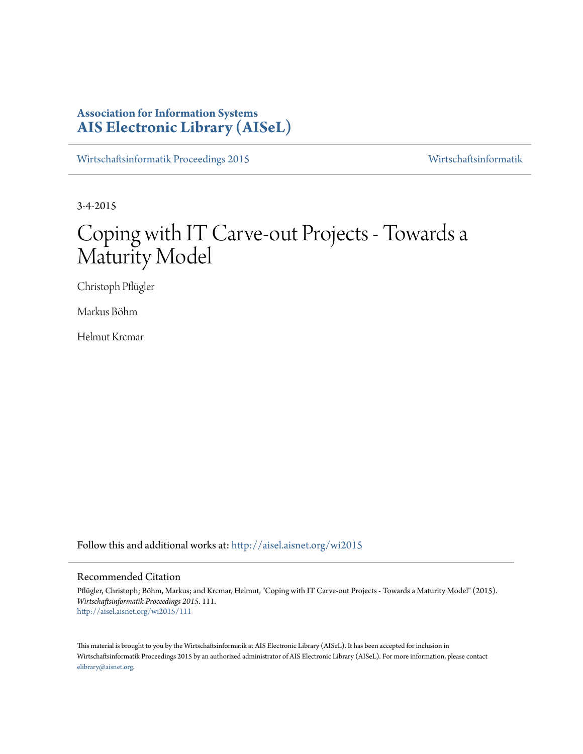# **Association for Information Systems [AIS Electronic Library \(AISeL\)](http://aisel.aisnet.org?utm_source=aisel.aisnet.org%2Fwi2015%2F111&utm_medium=PDF&utm_campaign=PDFCoverPages)**

[Wirtschaftsinformatik Proceedings 2015](http://aisel.aisnet.org/wi2015?utm_source=aisel.aisnet.org%2Fwi2015%2F111&utm_medium=PDF&utm_campaign=PDFCoverPages) [Wirtschaftsinformatik](http://aisel.aisnet.org/wi?utm_source=aisel.aisnet.org%2Fwi2015%2F111&utm_medium=PDF&utm_campaign=PDFCoverPages)

3-4-2015

# Coping with IT Carve-out Projects - Towards a Maturity Model

Christoph Pflügler

Markus Böhm

Helmut Krcmar

Follow this and additional works at: [http://aisel.aisnet.org/wi2015](http://aisel.aisnet.org/wi2015?utm_source=aisel.aisnet.org%2Fwi2015%2F111&utm_medium=PDF&utm_campaign=PDFCoverPages)

## Recommended Citation

Pflügler, Christoph; Böhm, Markus; and Krcmar, Helmut, "Coping with IT Carve-out Projects - Towards a Maturity Model" (2015). *Wirtschaftsinformatik Proceedings 2015*. 111. [http://aisel.aisnet.org/wi2015/111](http://aisel.aisnet.org/wi2015/111?utm_source=aisel.aisnet.org%2Fwi2015%2F111&utm_medium=PDF&utm_campaign=PDFCoverPages)

This material is brought to you by the Wirtschaftsinformatik at AIS Electronic Library (AISeL). It has been accepted for inclusion in Wirtschaftsinformatik Proceedings 2015 by an authorized administrator of AIS Electronic Library (AISeL). For more information, please contact [elibrary@aisnet.org.](mailto:elibrary@aisnet.org%3E)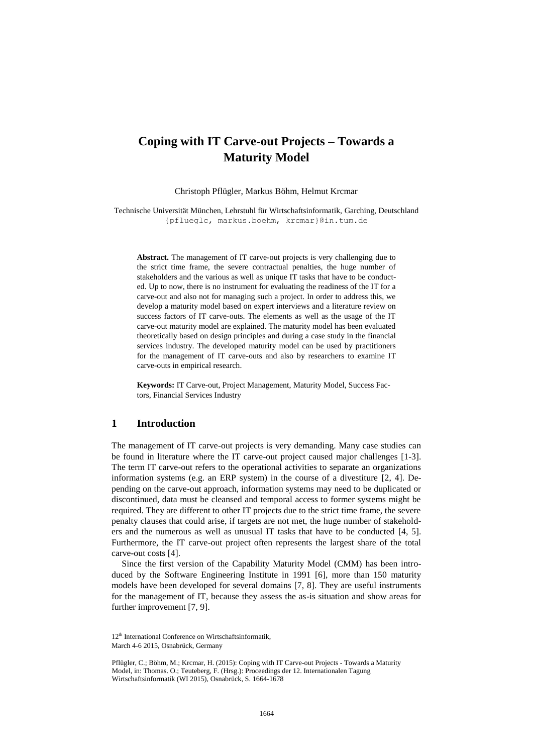# **Coping with IT Carve-out Projects – Towards a Maturity Model**

Christoph Pflügler, Markus Böhm, Helmut Krcmar

Technische Universität München, Lehrstuhl für Wirtschaftsinformatik, Garching, Deutschland {pflueglc, markus.boehm, krcmar}@in.tum.de

**Abstract.** The management of IT carve-out projects is very challenging due to the strict time frame, the severe contractual penalties, the huge number of stakeholders and the various as well as unique IT tasks that have to be conducted. Up to now, there is no instrument for evaluating the readiness of the IT for a carve-out and also not for managing such a project. In order to address this, we develop a maturity model based on expert interviews and a literature review on success factors of IT carve-outs. The elements as well as the usage of the IT carve-out maturity model are explained. The maturity model has been evaluated theoretically based on design principles and during a case study in the financial services industry. The developed maturity model can be used by practitioners for the management of IT carve-outs and also by researchers to examine IT carve-outs in empirical research.

**Keywords:** IT Carve-out, Project Management, Maturity Model, Success Factors, Financial Services Industry

## **1 Introduction**

The management of IT carve-out projects is very demanding. Many case studies can be found in literature where the IT carve-out project caused major challenges [\[1-3\]](#page-13-0). The term IT carve-out refers to the operational activities to separate an organizations information systems (e.g. an ERP system) in the course of a divestiture [\[2,](#page-13-1) [4\]](#page-13-2). Depending on the carve-out approach, information systems may need to be duplicated or discontinued, data must be cleansed and temporal access to former systems might be required. They are different to other IT projects due to the strict time frame, the severe penalty clauses that could arise, if targets are not met, the huge number of stakeholders and the numerous as well as unusual IT tasks that have to be conducted [\[4,](#page-13-2) [5\]](#page-13-3). Furthermore, the IT carve-out project often represents the largest share of the total carve-out costs [\[4\]](#page-13-2).

Since the first version of the Capability Maturity Model (CMM) has been introduced by the Software Engineering Institute in 1991 [\[6\]](#page-13-4), more than 150 maturity models have been developed for several domains [\[7,](#page-13-5) [8\]](#page-13-6). They are useful instruments for the management of IT, because they assess the as-is situation and show areas for further improvement [\[7,](#page-13-5) [9\]](#page-13-7).

<sup>12&</sup>lt;sup>th</sup> International Conference on Wirtschaftsinformatik March 4-6 2015, Osnabrück, Germany

Pflügler, C.; Böhm, M.; Krcmar, H. (2015): Coping with IT Carve-out Projects - Towards a Maturity Model, in: Thomas. O.; Teuteberg, F. (Hrsg.): Proceedings der 12. Internationalen Tagung Wirtschaftsinformatik (WI 2015), Osnabrück, S. 1664-1678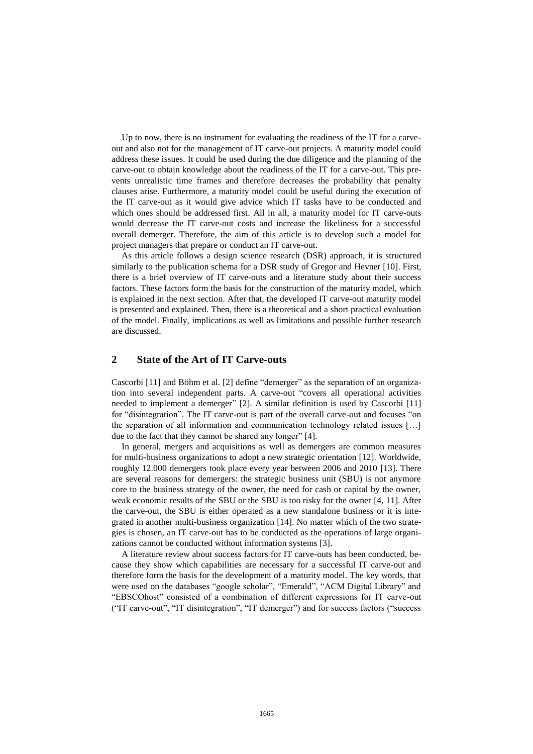Up to now, there is no instrument for evaluating the readiness of the IT for a carveout and also not for the management of IT carve-out projects. A maturity model could address these issues. It could be used during the due diligence and the planning of the carve-out to obtain knowledge about the readiness of the IT for a carve-out. This prevents unrealistic time frames and therefore decreases the probability that penalty clauses arise. Furthermore, a maturity model could be useful during the execution of the IT carve-out as it would give advice which IT tasks have to be conducted and which ones should be addressed first. All in all, a maturity model for IT carve-outs would decrease the IT carve-out costs and increase the likeliness for a successful overall demerger. Therefore, the aim of this article is to develop such a model for project managers that prepare or conduct an IT carve-out.

As this article follows a design science research (DSR) approach, it is structured similarly to the publication schema for a DSR study of [Gregor and Hevner \[10\].](#page-13-8) First, there is a brief overview of IT carve-outs and a literature study about their success factors. These factors form the basis for the construction of the maturity model, which is explained in the next section. After that, the developed IT carve-out maturity model is presented and explained. Then, there is a theoretical and a short practical evaluation of the model. Finally, implications as well as limitations and possible further research are discussed.

# **2 State of the Art of IT Carve-outs**

[Cascorbi \[11\]](#page-13-9) and [Böhm et al. \[2\]](#page-13-1) define "demerger" as the separation of an organization into several independent parts. A carve-out "covers all operational activities needed to implement a demerger" [\[2\]](#page-13-1). A similar definition is used by [Cascorbi \[11\]](#page-13-9) for "disintegration". The IT carve-out is part of the overall carve-out and focuses "on the separation of all information and communication technology related issues […] due to the fact that they cannot be shared any longer" [\[4\]](#page-13-2).

In general, mergers and acquisitions as well as demergers are common measures for multi-business organizations to adopt a new strategic orientation [\[12\]](#page-13-10). Worldwide, roughly 12.000 demergers took place every year between 2006 and 2010 [\[13\]](#page-13-11). There are several reasons for demergers: the strategic business unit (SBU) is not anymore core to the business strategy of the owner, the need for cash or capital by the owner, weak economic results of the SBU or the SBU is too risky for the owner [\[4,](#page-13-2) [11\]](#page-13-9). After the carve-out, the SBU is either operated as a new standalone business or it is integrated in another multi-business organization [\[14\]](#page-13-12). No matter which of the two strategies is chosen, an IT carve-out has to be conducted as the operations of large organizations cannot be conducted without information systems [\[3\]](#page-13-13).

A literature review about success factors for IT carve-outs has been conducted, because they show which capabilities are necessary for a successful IT carve-out and therefore form the basis for the development of a maturity model. The key words, that were used on the databases "google scholar", "Emerald", "ACM Digital Library" and "EBSCOhost" consisted of a combination of different expressions for IT carve-out ("IT carve-out", "IT disintegration", "IT demerger") and for success factors ("success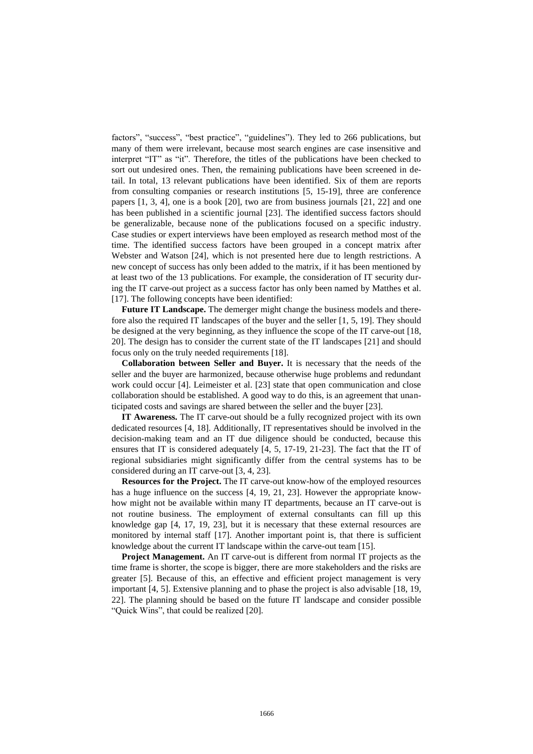factors", "success", "best practice", "guidelines"). They led to 266 publications, but many of them were irrelevant, because most search engines are case insensitive and interpret "IT" as "it". Therefore, the titles of the publications have been checked to sort out undesired ones. Then, the remaining publications have been screened in detail. In total, 13 relevant publications have been identified. Six of them are reports from consulting companies or research institutions [\[5,](#page-13-3) [15-19\]](#page-13-14), three are conference papers [\[1,](#page-13-0) [3,](#page-13-13) [4\]](#page-13-2), one is a book [\[20\]](#page-13-15), two are from business journals [\[21,](#page-14-0) [22\]](#page-14-1) and one has been published in a scientific journal [\[23\]](#page-14-2). The identified success factors should be generalizable, because none of the publications focused on a specific industry. Case studies or expert interviews have been employed as research method most of the time. The identified success factors have been grouped in a concept matrix after [Webster and Watson \[24\],](#page-14-3) which is not presented here due to length restrictions. A new concept of success has only been added to the matrix, if it has been mentioned by at least two of the 13 publications. For example, the consideration of IT security during the IT carve-out project as a success factor has only been named by [Matthes et al.](#page-13-16)  [17]. The following concepts have been identified:

**Future IT Landscape.** The demerger might change the business models and therefore also the required IT landscapes of the buyer and the seller [\[1,](#page-13-0) [5,](#page-13-3) [19\]](#page-13-17). They should be designed at the very beginning, as they influence the scope of the IT carve-out [\[18,](#page-13-18) [20\]](#page-13-15). The design has to consider the current state of the IT landscapes [\[21\]](#page-14-0) and should focus only on the truly needed requirements [\[18\]](#page-13-18).

**Collaboration between Seller and Buyer.** It is necessary that the needs of the seller and the buyer are harmonized, because otherwise huge problems and redundant work could occur [\[4\]](#page-13-2). [Leimeister et al. \[23\]](#page-14-2) state that open communication and close collaboration should be established. A good way to do this, is an agreement that unanticipated costs and savings are shared between the seller and the buyer [\[23\]](#page-14-2).

**IT Awareness.** The IT carve-out should be a fully recognized project with its own dedicated resources [\[4,](#page-13-2) [18\]](#page-13-18). Additionally, IT representatives should be involved in the decision-making team and an IT due diligence should be conducted, because this ensures that IT is considered adequately [\[4,](#page-13-2) [5,](#page-13-3) [17-19,](#page-13-16) [21-23\]](#page-14-0). The fact that the IT of regional subsidiaries might significantly differ from the central systems has to be considered during an IT carve-out [\[3,](#page-13-13) [4,](#page-13-2) [23\]](#page-14-2).

**Resources for the Project.** The IT carve-out know-how of the employed resources has a huge influence on the success [\[4,](#page-13-2) [19,](#page-13-17) [21,](#page-14-0) [23\]](#page-14-2). However the appropriate knowhow might not be available within many IT departments, because an IT carve-out is not routine business. The employment of external consultants can fill up this knowledge gap [\[4,](#page-13-2) [17,](#page-13-16) [19,](#page-13-17) [23\]](#page-14-2), but it is necessary that these external resources are monitored by internal staff [\[17\]](#page-13-16). Another important point is, that there is sufficient knowledge about the current IT landscape within the carve-out team [\[15\]](#page-13-14).

**Project Management.** An IT carve-out is different from normal IT projects as the time frame is shorter, the scope is bigger, there are more stakeholders and the risks are greater [\[5\]](#page-13-3). Because of this, an effective and efficient project management is very important [\[4,](#page-13-2) [5\]](#page-13-3). Extensive planning and to phase the project is also advisable [\[18,](#page-13-18) [19,](#page-13-17) [22\]](#page-14-1). The planning should be based on the future IT landscape and consider possible "Quick Wins", that could be realized [\[20\]](#page-13-15).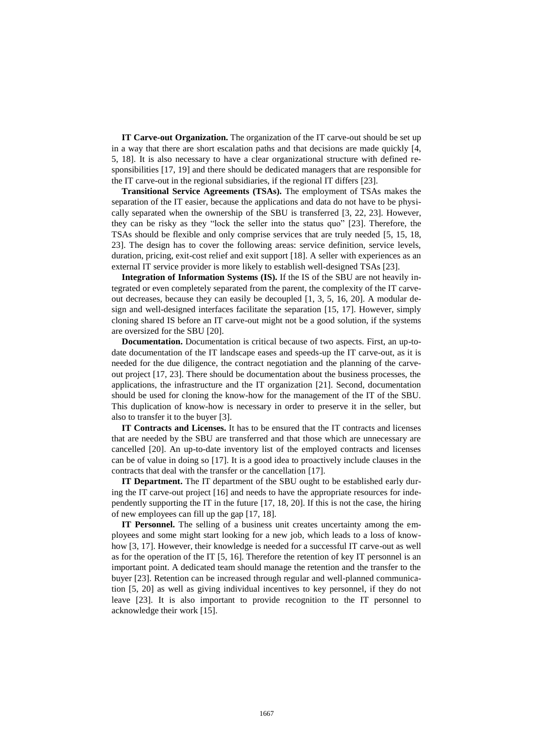**IT Carve-out Organization.** The organization of the IT carve-out should be set up in a way that there are short escalation paths and that decisions are made quickly [\[4,](#page-13-2) [5,](#page-13-3) [18\]](#page-13-18). It is also necessary to have a clear organizational structure with defined responsibilities [\[17,](#page-13-16) [19\]](#page-13-17) and there should be dedicated managers that are responsible for the IT carve-out in the regional subsidiaries, if the regional IT differs [\[23\]](#page-14-2).

**Transitional Service Agreements (TSAs).** The employment of TSAs makes the separation of the IT easier, because the applications and data do not have to be physically separated when the ownership of the SBU is transferred [\[3,](#page-13-13) [22,](#page-14-1) [23\]](#page-14-2). However, they can be risky as they "lock the seller into the status quo" [\[23\]](#page-14-2). Therefore, the TSAs should be flexible and only comprise services that are truly needed [\[5,](#page-13-3) [15,](#page-13-14) [18,](#page-13-18) [23\]](#page-14-2). The design has to cover the following areas: service definition, service levels, duration, pricing, exit-cost relief and exit support [\[18\]](#page-13-18). A seller with experiences as an external IT service provider is more likely to establish well-designed TSAs [\[23\]](#page-14-2).

**Integration of Information Systems (IS).** If the IS of the SBU are not heavily integrated or even completely separated from the parent, the complexity of the IT carveout decreases, because they can easily be decoupled [\[1,](#page-13-0) [3,](#page-13-13) [5,](#page-13-3) [16,](#page-13-19) [20\]](#page-13-15). A modular design and well-designed interfaces facilitate the separation [\[15,](#page-13-14) [17\]](#page-13-16). However, simply cloning shared IS before an IT carve-out might not be a good solution, if the systems are oversized for the SBU [\[20\]](#page-13-15).

**Documentation.** Documentation is critical because of two aspects. First, an up-todate documentation of the IT landscape eases and speeds-up the IT carve-out, as it is needed for the due diligence, the contract negotiation and the planning of the carveout project [\[17,](#page-13-16) [23\]](#page-14-2). There should be documentation about the business processes, the applications, the infrastructure and the IT organization [\[21\]](#page-14-0). Second, documentation should be used for cloning the know-how for the management of the IT of the SBU. This duplication of know-how is necessary in order to preserve it in the seller, but also to transfer it to the buyer [\[3\]](#page-13-13).

**IT Contracts and Licenses.** It has to be ensured that the IT contracts and licenses that are needed by the SBU are transferred and that those which are unnecessary are cancelled [\[20\]](#page-13-15). An up-to-date inventory list of the employed contracts and licenses can be of value in doing so [\[17\]](#page-13-16). It is a good idea to proactively include clauses in the contracts that deal with the transfer or the cancellation [\[17\]](#page-13-16).

**IT Department.** The IT department of the SBU ought to be established early during the IT carve-out project [\[16\]](#page-13-19) and needs to have the appropriate resources for independently supporting the IT in the future [\[17,](#page-13-16) [18,](#page-13-18) [20\]](#page-13-15). If this is not the case, the hiring of new employees can fill up the gap [\[17,](#page-13-16) [18\]](#page-13-18).

**IT Personnel.** The selling of a business unit creates uncertainty among the employees and some might start looking for a new job, which leads to a loss of knowhow [\[3,](#page-13-13) [17\]](#page-13-16). However, their knowledge is needed for a successful IT carve-out as well as for the operation of the IT [\[5,](#page-13-3) [16\]](#page-13-19). Therefore the retention of key IT personnel is an important point. A dedicated team should manage the retention and the transfer to the buyer [\[23\]](#page-14-2). Retention can be increased through regular and well-planned communication [\[5,](#page-13-3) [20\]](#page-13-15) as well as giving individual incentives to key personnel, if they do not leave [\[23\]](#page-14-2). It is also important to provide recognition to the IT personnel to acknowledge their work [\[15\]](#page-13-14).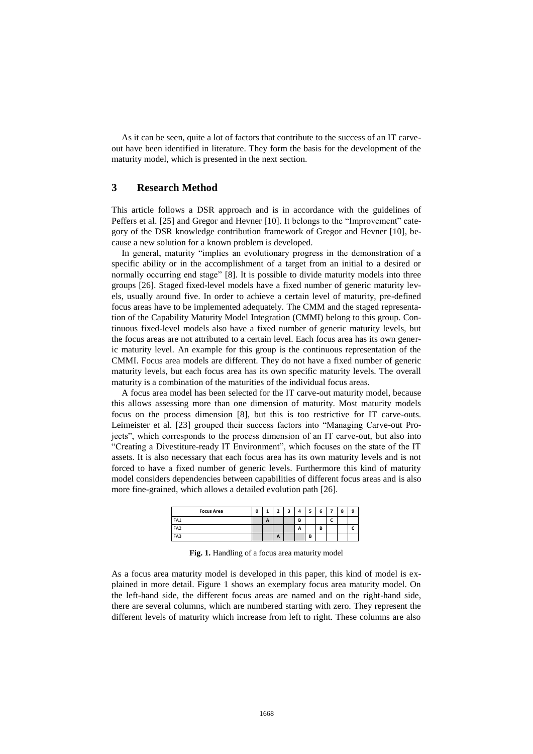As it can be seen, quite a lot of factors that contribute to the success of an IT carveout have been identified in literature. They form the basis for the development of the maturity model, which is presented in the next section.

## **3 Research Method**

This article follows a DSR approach and is in accordance with the guidelines of [Peffers et al. \[25\]](#page-14-4) and [Gregor and Hevner \[10\].](#page-13-8) It belongs to the "Improvement" category of the DSR knowledge contribution framework of [Gregor and Hevner \[10\],](#page-13-8) because a new solution for a known problem is developed.

In general, maturity "implies an evolutionary progress in the demonstration of a specific ability or in the accomplishment of a target from an initial to a desired or normally occurring end stage" [\[8\]](#page-13-6). It is possible to divide maturity models into three groups [\[26\]](#page-14-5). Staged fixed-level models have a fixed number of generic maturity levels, usually around five. In order to achieve a certain level of maturity, pre-defined focus areas have to be implemented adequately. The CMM and the staged representation of the Capability Maturity Model Integration (CMMI) belong to this group. Continuous fixed-level models also have a fixed number of generic maturity levels, but the focus areas are not attributed to a certain level. Each focus area has its own generic maturity level. An example for this group is the continuous representation of the CMMI. Focus area models are different. They do not have a fixed number of generic maturity levels, but each focus area has its own specific maturity levels. The overall maturity is a combination of the maturities of the individual focus areas.

A focus area model has been selected for the IT carve-out maturity model, because this allows assessing more than one dimension of maturity. Most maturity models focus on the process dimension [\[8\]](#page-13-6), but this is too restrictive for IT carve-outs. [Leimeister et al. \[23\]](#page-14-2) grouped their success factors into "Managing Carve-out Projects", which corresponds to the process dimension of an IT carve-out, but also into "Creating a Divestiture-ready IT Environment", which focuses on the state of the IT assets. It is also necessary that each focus area has its own maturity levels and is not forced to have a fixed number of generic levels. Furthermore this kind of maturity model considers dependencies between capabilities of different focus areas and is also more fine-grained, which allows a detailed evolution path [\[26\]](#page-14-5).

| <b>Focus Area</b> | 0 | ┻ | n            | - |        |        | 6 |                          | 8 | 9 |
|-------------------|---|---|--------------|---|--------|--------|---|--------------------------|---|---|
| FA1               |   | A |              |   | D<br>Ð |        |   | $\overline{\phantom{0}}$ |   |   |
| FA <sub>2</sub>   |   |   |              |   | A      |        | B |                          |   |   |
| FA3               |   |   | $\mathbf{A}$ |   |        | n<br>Ð |   |                          |   |   |

**Fig. 1.** Handling of a focus area maturity model

As a focus area maturity model is developed in this paper, this kind of model is explained in more detail. Figure 1 shows an exemplary focus area maturity model. On the left-hand side, the different focus areas are named and on the right-hand side, there are several columns, which are numbered starting with zero. They represent the different levels of maturity which increase from left to right. These columns are also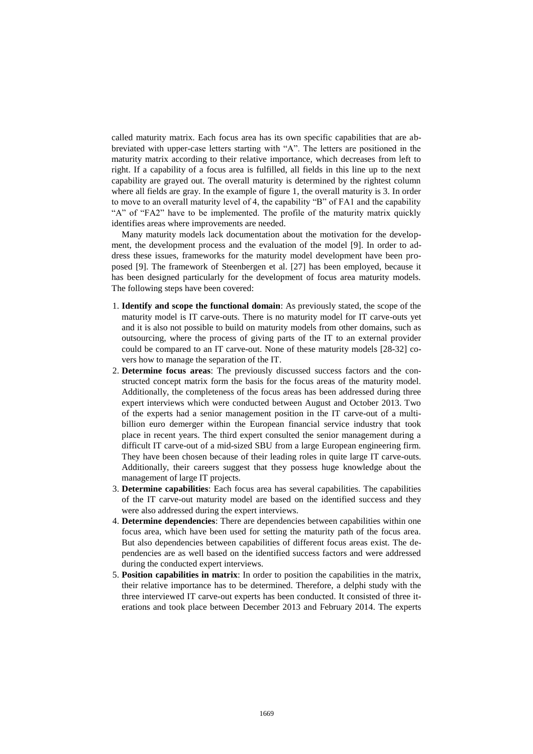called maturity matrix. Each focus area has its own specific capabilities that are abbreviated with upper-case letters starting with "A". The letters are positioned in the maturity matrix according to their relative importance, which decreases from left to right. If a capability of a focus area is fulfilled, all fields in this line up to the next capability are grayed out. The overall maturity is determined by the rightest column where all fields are gray. In the example of figure 1, the overall maturity is 3. In order to move to an overall maturity level of 4, the capability "B" of FA1 and the capability "A" of "FA2" have to be implemented. The profile of the maturity matrix quickly identifies areas where improvements are needed.

Many maturity models lack documentation about the motivation for the development, the development process and the evaluation of the model [\[9\]](#page-13-7). In order to address these issues, frameworks for the maturity model development have been proposed [\[9\]](#page-13-7). The framework of [Steenbergen et al. \[27\]](#page-14-6) has been employed, because it has been designed particularly for the development of focus area maturity models. The following steps have been covered:

- 1. **Identify and scope the functional domain**: As previously stated, the scope of the maturity model is IT carve-outs. There is no maturity model for IT carve-outs yet and it is also not possible to build on maturity models from other domains, such as outsourcing, where the process of giving parts of the IT to an external provider could be compared to an IT carve-out. None of these maturity models [\[28-32\]](#page-14-7) covers how to manage the separation of the IT.
- 2. **Determine focus areas**: The previously discussed success factors and the constructed concept matrix form the basis for the focus areas of the maturity model. Additionally, the completeness of the focus areas has been addressed during three expert interviews which were conducted between August and October 2013. Two of the experts had a senior management position in the IT carve-out of a multibillion euro demerger within the European financial service industry that took place in recent years. The third expert consulted the senior management during a difficult IT carve-out of a mid-sized SBU from a large European engineering firm. They have been chosen because of their leading roles in quite large IT carve-outs. Additionally, their careers suggest that they possess huge knowledge about the management of large IT projects.
- 3. **Determine capabilities**: Each focus area has several capabilities. The capabilities of the IT carve-out maturity model are based on the identified success and they were also addressed during the expert interviews.
- 4. **Determine dependencies**: There are dependencies between capabilities within one focus area, which have been used for setting the maturity path of the focus area. But also dependencies between capabilities of different focus areas exist. The dependencies are as well based on the identified success factors and were addressed during the conducted expert interviews.
- 5. **Position capabilities in matrix**: In order to position the capabilities in the matrix, their relative importance has to be determined. Therefore, a delphi study with the three interviewed IT carve-out experts has been conducted. It consisted of three iterations and took place between December 2013 and February 2014. The experts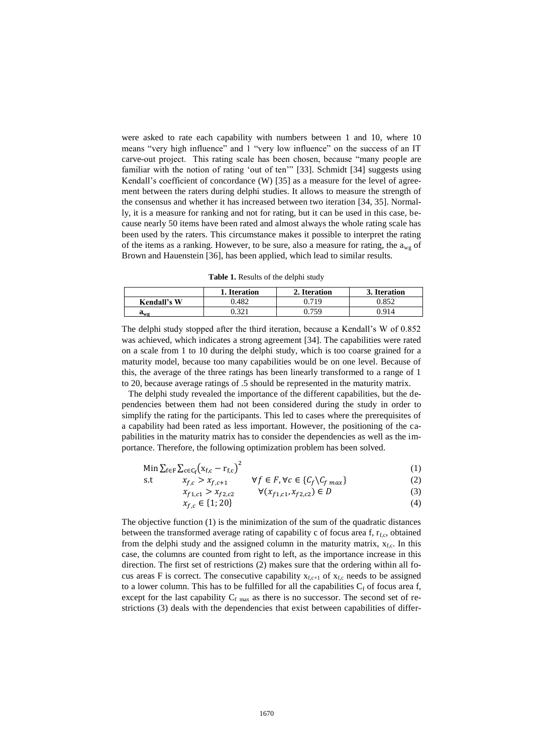were asked to rate each capability with numbers between 1 and 10, where 10 means "very high influence" and 1 "very low influence" on the success of an IT carve-out project. This rating scale has been chosen, because "many people are familiar with the notion of rating 'out of ten'" [\[33\]](#page-14-8). [Schmidt \[34\]](#page-14-9) suggests using Kendall's coefficient of concordance (W) [\[35\]](#page-14-10) as a measure for the level of agreement between the raters during delphi studies. It allows to measure the strength of the consensus and whether it has increased between two iteration [\[34,](#page-14-9) [35\]](#page-14-10). Normally, it is a measure for ranking and not for rating, but it can be used in this case, because nearly 50 items have been rated and almost always the whole rating scale has been used by the raters. This circumstance makes it possible to interpret the rating of the items as a ranking. However, to be sure, also a measure for rating, the  $a_{we}$  of [Brown and Hauenstein \[36\],](#page-14-11) has been applied, which lead to similar results.

**Table 1.** Results of the delphi study

|              | <b>Iteration</b> | 2. Iteration | <b>Iteration</b> |
|--------------|------------------|--------------|------------------|
| Kendall's W  | .482             | 71 Q         | 0.852            |
| $a_{\rm w0}$ | 221              | 750          |                  |

The delphi study stopped after the third iteration, because a Kendall's W of 0.852 was achieved, which indicates a strong agreement [\[34\]](#page-14-9). The capabilities were rated on a scale from 1 to 10 during the delphi study, which is too coarse grained for a maturity model, because too many capabilities would be on one level. Because of this, the average of the three ratings has been linearly transformed to a range of 1 to 20, because average ratings of .5 should be represented in the maturity matrix.

 The delphi study revealed the importance of the different capabilities, but the dependencies between them had not been considered during the study in order to simplify the rating for the participants. This led to cases where the prerequisites of a capability had been rated as less important. However, the positioning of the capabilities in the maturity matrix has to consider the dependencies as well as the importance. Therefore, the following optimization problem has been solved.

$$
\text{Min}\sum_{f\in F}\sum_{c\in C_f}\left(x_{f,c}-r_{f,c}\right)^2\tag{1}
$$

$$
\text{s.t} \qquad x_{f,c} > x_{f,c+1} \qquad \forall f \in F, \forall c \in \{C_f \setminus C_{f \text{ max}}\} \tag{2}
$$

$$
x_{f1,c1} > x_{f2,c2} \qquad \forall (x_{f1,c1}, x_{f2,c2}) \in D \tag{3}
$$

$$
x_{f,c} \in \{1; 20\} \tag{4}
$$

The objective function (1) is the minimization of the sum of the quadratic distances between the transformed average rating of capability c of focus area f,  $r_{f,c}$ , obtained from the delphi study and the assigned column in the maturity matrix,  $x_{fc}$ . In this case, the columns are counted from right to left, as the importance increase in this direction. The first set of restrictions (2) makes sure that the ordering within all focus areas F is correct. The consecutive capability  $x_{f,c+1}$  of  $x_{f,c}$  needs to be assigned to a lower column. This has to be fulfilled for all the capabilities  $C_f$  of focus area f, except for the last capability  $C_f$  max as there is no successor. The second set of restrictions (3) deals with the dependencies that exist between capabilities of differ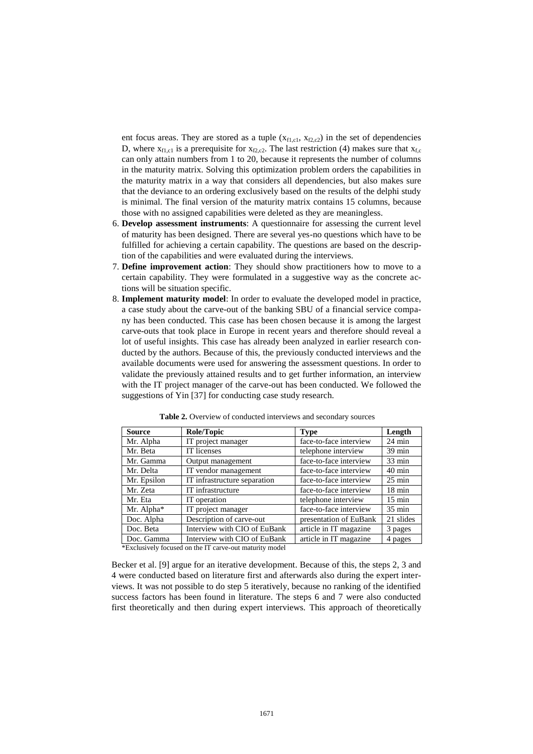ent focus areas. They are stored as a tuple  $(x_{f1,c1}, x_{f2,c2})$  in the set of dependencies D, where  $x_{f1,c1}$  is a prerequisite for  $x_{f2,c2}$ . The last restriction (4) makes sure that  $x_{fc}$ can only attain numbers from 1 to 20, because it represents the number of columns in the maturity matrix. Solving this optimization problem orders the capabilities in the maturity matrix in a way that considers all dependencies, but also makes sure that the deviance to an ordering exclusively based on the results of the delphi study is minimal. The final version of the maturity matrix contains 15 columns, because those with no assigned capabilities were deleted as they are meaningless.

- 6. **Develop assessment instruments**: A questionnaire for assessing the current level of maturity has been designed. There are several yes-no questions which have to be fulfilled for achieving a certain capability. The questions are based on the description of the capabilities and were evaluated during the interviews.
- 7. **Define improvement action**: They should show practitioners how to move to a certain capability. They were formulated in a suggestive way as the concrete actions will be situation specific.
- 8. **Implement maturity model**: In order to evaluate the developed model in practice, a case study about the carve-out of the banking SBU of a financial service company has been conducted. This case has been chosen because it is among the largest carve-outs that took place in Europe in recent years and therefore should reveal a lot of useful insights. This case has already been analyzed in earlier research conducted by the authors. Because of this, the previously conducted interviews and the available documents were used for answering the assessment questions. In order to validate the previously attained results and to get further information, an interview with the IT project manager of the carve-out has been conducted. We followed the suggestions of [Yin \[37\]](#page-14-12) for conducting case study research.

| <b>Source</b> | Role/Topic                                              | <b>Type</b>            | Length           |
|---------------|---------------------------------------------------------|------------------------|------------------|
| Mr. Alpha     | IT project manager                                      | face-to-face interview | $24 \text{ min}$ |
| Mr. Beta      | IT licenses                                             | telephone interview    | $39 \text{ min}$ |
| Mr. Gamma     | Output management                                       | face-to-face interview | $33 \text{ min}$ |
| Mr. Delta     | IT vendor management                                    | face-to-face interview | $40 \text{ min}$ |
| Mr. Epsilon   | IT infrastructure separation                            | face-to-face interview | $25 \text{ min}$ |
| Mr. Zeta      | IT infrastructure                                       | face-to-face interview | $18 \text{ min}$ |
| Mr. Eta       | IT operation                                            | telephone interview    | $15 \text{ min}$ |
| Mr. Alpha*    | IT project manager                                      | face-to-face interview | $35 \text{ min}$ |
| Doc. Alpha    | Description of carve-out                                | presentation of EuBank | 21 slides        |
| Doc. Beta     | Interview with CIO of EuBank                            | article in IT magazine | 3 pages          |
| Doc. Gamma    | Interview with CIO of EuBank                            | article in IT magazine | 4 pages          |
|               | *Exclusively focused on the IT carve-out maturity model |                        |                  |

**Table 2.** Overview of conducted interviews and secondary sources

[Becker et al. \[9\]](#page-13-7) argue for an iterative development. Because of this, the steps 2, 3 and 4 were conducted based on literature first and afterwards also during the expert interviews. It was not possible to do step 5 iteratively, because no ranking of the identified success factors has been found in literature. The steps 6 and 7 were also conducted first theoretically and then during expert interviews. This approach of theoretically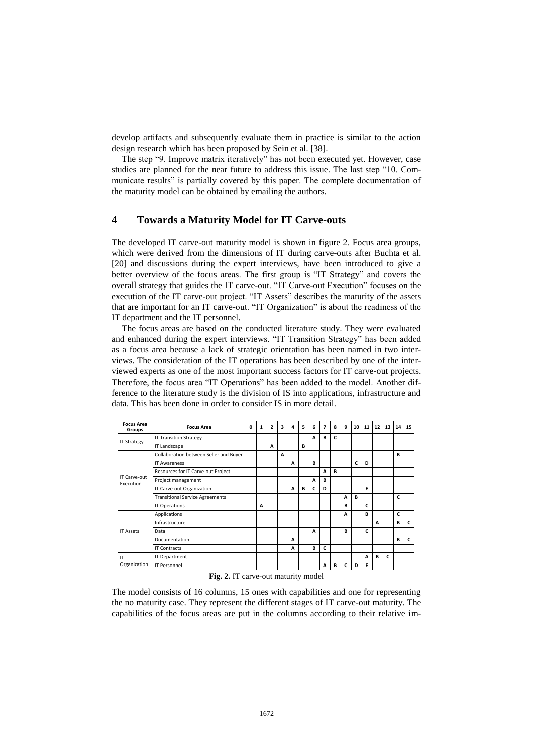develop artifacts and subsequently evaluate them in practice is similar to the action design research which has been proposed by [Sein et al. \[38\].](#page-14-13)

The step "9. Improve matrix iteratively" has not been executed yet. However, case studies are planned for the near future to address this issue. The last step "10. Communicate results" is partially covered by this paper. The complete documentation of the maturity model can be obtained by emailing the authors.

# **4 Towards a Maturity Model for IT Carve-outs**

The developed IT carve-out maturity model is shown in figure 2. Focus area groups, which were derived from the dimensions of IT during carve-outs after [Buchta et al.](#page-13-15)  [20] and discussions during the expert interviews, have been introduced to give a better overview of the focus areas. The first group is "IT Strategy" and covers the overall strategy that guides the IT carve-out. "IT Carve-out Execution" focuses on the execution of the IT carve-out project. "IT Assets" describes the maturity of the assets that are important for an IT carve-out. "IT Organization" is about the readiness of the IT department and the IT personnel.

The focus areas are based on the conducted literature study. They were evaluated and enhanced during the expert interviews. "IT Transition Strategy" has been added as a focus area because a lack of strategic orientation has been named in two interviews. The consideration of the IT operations has been described by one of the interviewed experts as one of the most important success factors for IT carve-out projects. Therefore, the focus area "IT Operations" has been added to the model. Another difference to the literature study is the division of IS into applications, infrastructure and data. This has been done in order to consider IS in more detail.

| <b>Focus Area</b><br>Groups | <b>Focus Area</b>                      | 0 | 1 | $\overline{2}$ | 3 | 4 | 5 | 6 | 7 | 8 | 9  | 10 | 11 | 12 | 13 | 14 | 15 |
|-----------------------------|----------------------------------------|---|---|----------------|---|---|---|---|---|---|----|----|----|----|----|----|----|
|                             | <b>IT Transition Strategy</b>          |   |   |                |   |   |   | A | в | C |    |    |    |    |    |    |    |
| <b>IT Strategy</b>          | IT Landscape                           |   |   | A              |   |   | в |   |   |   |    |    |    |    |    |    |    |
|                             | Collaboration between Seller and Buyer |   |   |                | A |   |   |   |   |   |    |    |    |    |    | в  |    |
|                             | <b>IT Awareness</b>                    |   |   |                |   | A |   | B |   |   |    | C  | D  |    |    |    |    |
| IT Carve-out<br>Execution   | Resources for IT Carve-out Project     |   |   |                |   |   |   |   | A | в |    |    |    |    |    |    |    |
|                             | Project management                     |   |   |                |   |   |   | A | в |   |    |    |    |    |    |    |    |
|                             | IT Carve-out Organization              |   |   |                |   | A | в | c | D |   |    |    | E  |    |    |    |    |
|                             | <b>Transitional Service Agreements</b> |   |   |                |   |   |   |   |   |   | A  | в  |    |    |    | c  |    |
|                             | <b>IT Operations</b>                   |   | A |                |   |   |   |   |   |   | в  |    | c  |    |    |    |    |
|                             | Applications                           |   |   |                |   |   |   |   |   |   | A  |    | B  |    |    | C  |    |
|                             | Infrastructure                         |   |   |                |   |   |   |   |   |   |    |    |    | A  |    | в  | c  |
| <b>IT Assets</b>            | Data                                   |   |   |                |   |   |   | A |   |   | R. |    | c  |    |    |    |    |
|                             | Documentation                          |   |   |                |   | A |   |   |   |   |    |    |    |    |    | в  | c  |
|                             | <b>IT Contracts</b>                    |   |   |                |   | A |   | B | c |   |    |    |    |    |    |    |    |
| IT                          | <b>IT Department</b>                   |   |   |                |   |   |   |   |   |   |    |    | A  | B  | C  |    |    |
| Organization                | <b>IT Personnel</b>                    |   |   |                |   |   |   |   | A | в | c  | D  | E  |    |    |    |    |

#### **Fig. 2.** IT carve-out maturity model

The model consists of 16 columns, 15 ones with capabilities and one for representing the no maturity case. They represent the different stages of IT carve-out maturity. The capabilities of the focus areas are put in the columns according to their relative im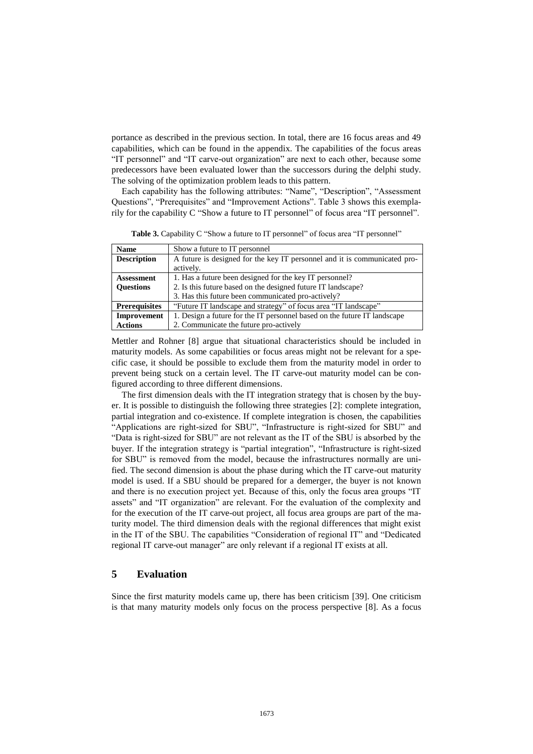portance as described in the previous section. In total, there are 16 focus areas and 49 capabilities, which can be found in the appendix. The capabilities of the focus areas "IT personnel" and "IT carve-out organization" are next to each other, because some predecessors have been evaluated lower than the successors during the delphi study. The solving of the optimization problem leads to this pattern.

Each capability has the following attributes: "Name", "Description", "Assessment Questions", "Prerequisites" and "Improvement Actions". Table 3 shows this exemplarily for the capability C "Show a future to IT personnel" of focus area "IT personnel".

**Name** Show a future to IT personnel **Description** A future is designed for the key IT personnel and it is communicated proactively. **Assessment Questions** 1. Has a future been designed for the key IT personnel? 2. Is this future based on the designed future IT landscape? 3. Has this future been communicated pro-actively? **Prerequisites** "Future IT landscape and strategy" of focus area "IT landscape" **Improvement**  1. Design a future for the IT personnel based on the future IT landscape

**Table 3.** Capability C "Show a future to IT personnel" of focus area "IT personnel"

[Mettler and Rohner \[8\]](#page-13-6) argue that situational characteristics should be included in maturity models. As some capabilities or focus areas might not be relevant for a specific case, it should be possible to exclude them from the maturity model in order to prevent being stuck on a certain level. The IT carve-out maturity model can be configured according to three different dimensions.

2. Communicate the future pro-actively

The first dimension deals with the IT integration strategy that is chosen by the buyer. It is possible to distinguish the following three strategies [\[2\]](#page-13-1): complete integration, partial integration and co-existence. If complete integration is chosen, the capabilities "Applications are right-sized for SBU", "Infrastructure is right-sized for SBU" and "Data is right-sized for SBU" are not relevant as the IT of the SBU is absorbed by the buyer. If the integration strategy is "partial integration", "Infrastructure is right-sized for SBU" is removed from the model, because the infrastructures normally are unified. The second dimension is about the phase during which the IT carve-out maturity model is used. If a SBU should be prepared for a demerger, the buyer is not known and there is no execution project yet. Because of this, only the focus area groups "IT assets" and "IT organization" are relevant. For the evaluation of the complexity and for the execution of the IT carve-out project, all focus area groups are part of the maturity model. The third dimension deals with the regional differences that might exist in the IT of the SBU. The capabilities "Consideration of regional IT" and "Dedicated regional IT carve-out manager" are only relevant if a regional IT exists at all.

# **5 Evaluation**

**Actions**

Since the first maturity models came up, there has been criticism [\[39\]](#page-14-14). One criticism is that many maturity models only focus on the process perspective [\[8\]](#page-13-6). As a focus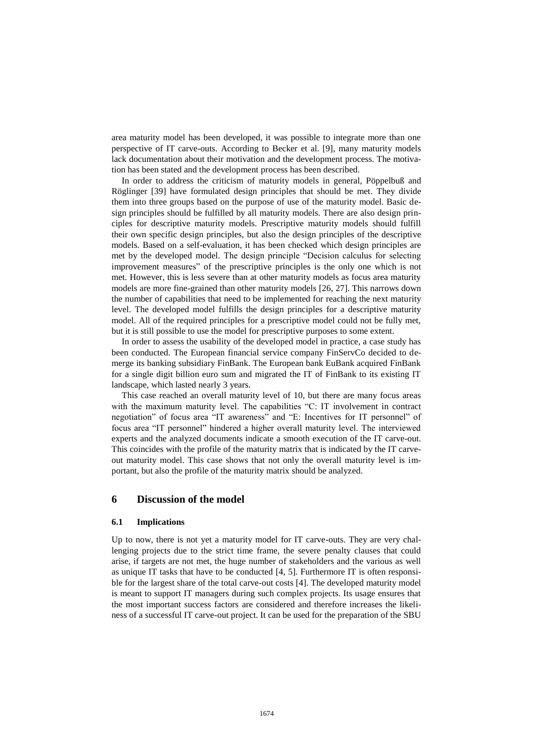area maturity model has been developed, it was possible to integrate more than one perspective of IT carve-outs. According to [Becker et al. \[9\],](#page-13-7) many maturity models lack documentation about their motivation and the development process. The motivation has been stated and the development process has been described.

In order to address the criticism of maturity models in general, [Pöppelbuß and](#page-14-14)  Röglinger [39] have formulated design principles that should be met. They divide them into three groups based on the purpose of use of the maturity model. Basic design principles should be fulfilled by all maturity models. There are also design principles for descriptive maturity models. Prescriptive maturity models should fulfill their own specific design principles, but also the design principles of the descriptive models. Based on a self-evaluation, it has been checked which design principles are met by the developed model. The design principle "Decision calculus for selecting improvement measures" of the prescriptive principles is the only one which is not met. However, this is less severe than at other maturity models as focus area maturity models are more fine-grained than other maturity models [\[26,](#page-14-5) [27\]](#page-14-6). This narrows down the number of capabilities that need to be implemented for reaching the next maturity level. The developed model fulfills the design principles for a descriptive maturity model. All of the required principles for a prescriptive model could not be fully met, but it is still possible to use the model for prescriptive purposes to some extent.

In order to assess the usability of the developed model in practice, a case study has been conducted. The European financial service company FinServCo decided to demerge its banking subsidiary FinBank. The European bank EuBank acquired FinBank for a single digit billion euro sum and migrated the IT of FinBank to its existing IT landscape, which lasted nearly 3 years.

This case reached an overall maturity level of 10, but there are many focus areas with the maximum maturity level. The capabilities "C: IT involvement in contract negotiation" of focus area "IT awareness" and "E: Incentives for IT personnel" of focus area "IT personnel" hindered a higher overall maturity level. The interviewed experts and the analyzed documents indicate a smooth execution of the IT carve-out. This coincides with the profile of the maturity matrix that is indicated by the IT carveout maturity model. This case shows that not only the overall maturity level is important, but also the profile of the maturity matrix should be analyzed.

#### **6 Discussion of the model**

#### **6.1 Implications**

Up to now, there is not yet a maturity model for IT carve-outs. They are very challenging projects due to the strict time frame, the severe penalty clauses that could arise, if targets are not met, the huge number of stakeholders and the various as well as unique IT tasks that have to be conducted [\[4,](#page-13-2) [5\]](#page-13-3). Furthermore IT is often responsible for the largest share of the total carve-out costs [\[4\]](#page-13-2). The developed maturity model is meant to support IT managers during such complex projects. Its usage ensures that the most important success factors are considered and therefore increases the likeliness of a successful IT carve-out project. It can be used for the preparation of the SBU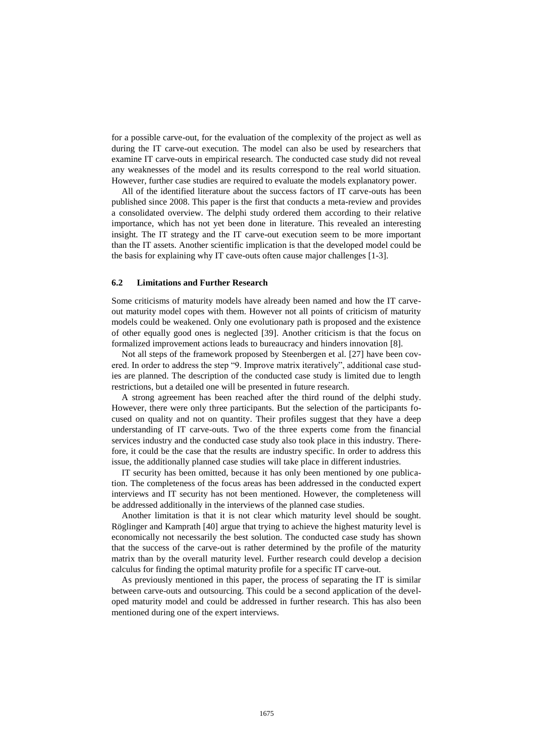for a possible carve-out, for the evaluation of the complexity of the project as well as during the IT carve-out execution. The model can also be used by researchers that examine IT carve-outs in empirical research. The conducted case study did not reveal any weaknesses of the model and its results correspond to the real world situation. However, further case studies are required to evaluate the models explanatory power.

All of the identified literature about the success factors of IT carve-outs has been published since 2008. This paper is the first that conducts a meta-review and provides a consolidated overview. The delphi study ordered them according to their relative importance, which has not yet been done in literature. This revealed an interesting insight. The IT strategy and the IT carve-out execution seem to be more important than the IT assets. Another scientific implication is that the developed model could be the basis for explaining why IT cave-outs often cause major challenges [\[1-3\]](#page-13-0).

#### **6.2 Limitations and Further Research**

Some criticisms of maturity models have already been named and how the IT carveout maturity model copes with them. However not all points of criticism of maturity models could be weakened. Only one evolutionary path is proposed and the existence of other equally good ones is neglected [\[39\]](#page-14-14). Another criticism is that the focus on formalized improvement actions leads to bureaucracy and hinders innovation [\[8\]](#page-13-6).

Not all steps of the framework proposed by [Steenbergen et al. \[27\]](#page-14-6) have been covered. In order to address the step "9. Improve matrix iteratively", additional case studies are planned. The description of the conducted case study is limited due to length restrictions, but a detailed one will be presented in future research.

A strong agreement has been reached after the third round of the delphi study. However, there were only three participants. But the selection of the participants focused on quality and not on quantity. Their profiles suggest that they have a deep understanding of IT carve-outs. Two of the three experts come from the financial services industry and the conducted case study also took place in this industry. Therefore, it could be the case that the results are industry specific. In order to address this issue, the additionally planned case studies will take place in different industries.

IT security has been omitted, because it has only been mentioned by one publication. The completeness of the focus areas has been addressed in the conducted expert interviews and IT security has not been mentioned. However, the completeness will be addressed additionally in the interviews of the planned case studies.

Another limitation is that it is not clear which maturity level should be sought. [Röglinger and Kamprath \[40\]](#page-14-15) argue that trying to achieve the highest maturity level is economically not necessarily the best solution. The conducted case study has shown that the success of the carve-out is rather determined by the profile of the maturity matrix than by the overall maturity level. Further research could develop a decision calculus for finding the optimal maturity profile for a specific IT carve-out.

As previously mentioned in this paper, the process of separating the IT is similar between carve-outs and outsourcing. This could be a second application of the developed maturity model and could be addressed in further research. This has also been mentioned during one of the expert interviews.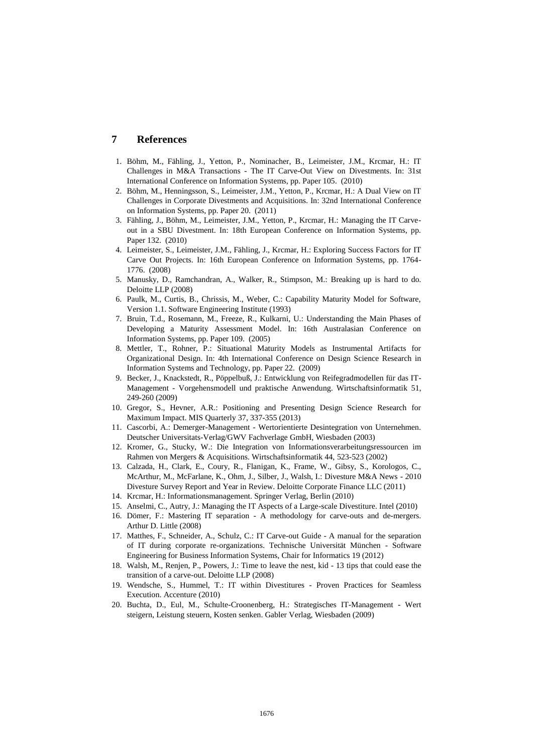# **7 References**

- <span id="page-13-0"></span>1. Böhm, M., Fähling, J., Yetton, P., Nominacher, B., Leimeister, J.M., Krcmar, H.: IT Challenges in M&A Transactions - The IT Carve-Out View on Divestments. In: 31st International Conference on Information Systems, pp. Paper 105. (2010)
- <span id="page-13-1"></span>2. Böhm, M., Henningsson, S., Leimeister, J.M., Yetton, P., Krcmar, H.: A Dual View on IT Challenges in Corporate Divestments and Acquisitions. In: 32nd International Conference on Information Systems, pp. Paper 20. (2011)
- <span id="page-13-13"></span>3. Fähling, J., Böhm, M., Leimeister, J.M., Yetton, P., Krcmar, H.: Managing the IT Carveout in a SBU Divestment. In: 18th European Conference on Information Systems, pp. Paper 132. (2010)
- <span id="page-13-2"></span>4. Leimeister, S., Leimeister, J.M., Fähling, J., Krcmar, H.: Exploring Success Factors for IT Carve Out Projects. In: 16th European Conference on Information Systems, pp. 1764- 1776. (2008)
- <span id="page-13-3"></span>5. Manusky, D., Ramchandran, A., Walker, R., Stimpson, M.: Breaking up is hard to do. Deloitte LLP (2008)
- <span id="page-13-4"></span>6. Paulk, M., Curtis, B., Chrissis, M., Weber, C.: Capability Maturity Model for Software, Version 1.1. Software Engineering Institute (1993)
- <span id="page-13-5"></span>7. Bruin, T.d., Rosemann, M., Freeze, R., Kulkarni, U.: Understanding the Main Phases of Developing a Maturity Assessment Model. In: 16th Australasian Conference on Information Systems, pp. Paper 109. (2005)
- <span id="page-13-6"></span>8. Mettler, T., Rohner, P.: Situational Maturity Models as Instrumental Artifacts for Organizational Design. In: 4th International Conference on Design Science Research in Information Systems and Technology, pp. Paper 22. (2009)
- <span id="page-13-7"></span>9. Becker, J., Knackstedt, R., Pöppelbuß, J.: Entwicklung von Reifegradmodellen für das IT-Management - Vorgehensmodell und praktische Anwendung. Wirtschaftsinformatik 51, 249-260 (2009)
- <span id="page-13-8"></span>10. Gregor, S., Hevner, A.R.: Positioning and Presenting Design Science Research for Maximum Impact. MIS Quarterly 37, 337-355 (2013)
- <span id="page-13-9"></span>11. Cascorbi, A.: Demerger-Management - Wertorientierte Desintegration von Unternehmen. Deutscher Universitats-Verlag/GWV Fachverlage GmbH, Wiesbaden (2003)
- <span id="page-13-10"></span>12. Kromer, G., Stucky, W.: Die Integration von Informationsverarbeitungsressourcen im Rahmen von Mergers & Acquisitions. Wirtschaftsinformatik 44, 523-523 (2002)
- <span id="page-13-11"></span>13. Calzada, H., Clark, E., Coury, R., Flanigan, K., Frame, W., Gibsy, S., Korologos, C., McArthur, M., McFarlane, K., Ohm, J., Silber, J., Walsh, I.: Divesture M&A News - 2010 Divesture Survey Report and Year in Review. Deloitte Corporate Finance LLC (2011)
- <span id="page-13-12"></span>14. Krcmar, H.: Informationsmanagement. Springer Verlag, Berlin (2010)
- <span id="page-13-14"></span>15. Anselmi, C., Autry, J.: Managing the IT Aspects of a Large-scale Divestiture. Intel (2010)
- <span id="page-13-19"></span>16. Dömer, F.: Mastering IT separation - A methodology for carve-outs and de-mergers. Arthur D. Little (2008)
- <span id="page-13-16"></span>17. Matthes, F., Schneider, A., Schulz, C.: IT Carve-out Guide - A manual for the separation of IT during corporate re-organizations. Technische Universität München - Software Engineering for Business Information Systems, Chair for Informatics 19 (2012)
- <span id="page-13-18"></span>18. Walsh, M., Renjen, P., Powers, J.: Time to leave the nest, kid - 13 tips that could ease the transition of a carve-out. Deloitte LLP (2008)
- <span id="page-13-17"></span>19. Wendsche, S., Hummel, T.: IT within Divestitures - Proven Practices for Seamless Execution. Accenture (2010)
- <span id="page-13-15"></span>20. Buchta, D., Eul, M., Schulte-Croonenberg, H.: Strategisches IT-Management - Wert steigern, Leistung steuern, Kosten senken. Gabler Verlag, Wiesbaden (2009)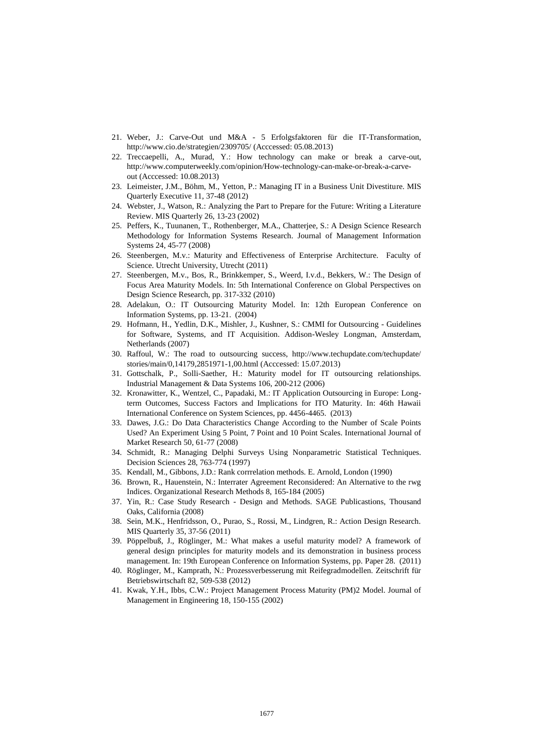- <span id="page-14-0"></span>21. Weber, J.: Carve-Out und M&A - 5 Erfolgsfaktoren für die IT-Transformation, http://www.cio.de/strategien/2309705/ (Acccessed: 05.08.2013)
- <span id="page-14-1"></span>22. Treccaepelli, A., Murad, Y.: How technology can make or break a carve-out, http://www.computerweekly.com/opinion/How-technology-can-make-or-break-a-carveout (Acccessed: 10.08.2013)
- <span id="page-14-2"></span>23. Leimeister, J.M., Böhm, M., Yetton, P.: Managing IT in a Business Unit Divestiture. MIS Quarterly Executive 11, 37-48 (2012)
- <span id="page-14-3"></span>24. Webster, J., Watson, R.: Analyzing the Part to Prepare for the Future: Writing a Literature Review. MIS Quarterly 26, 13-23 (2002)
- <span id="page-14-4"></span>25. Peffers, K., Tuunanen, T., Rothenberger, M.A., Chatterjee, S.: A Design Science Research Methodology for Information Systems Research. Journal of Management Information Systems 24, 45-77 (2008)
- <span id="page-14-5"></span>26. Steenbergen, M.v.: Maturity and Effectiveness of Enterprise Architecture. Faculty of Science. Utrecht University, Utrecht (2011)
- <span id="page-14-6"></span>27. Steenbergen, M.v., Bos, R., Brinkkemper, S., Weerd, I.v.d., Bekkers, W.: The Design of Focus Area Maturity Models. In: 5th International Conference on Global Perspectives on Design Science Research, pp. 317-332 (2010)
- <span id="page-14-7"></span>28. Adelakun, O.: IT Outsourcing Maturity Model. In: 12th European Conference on Information Systems, pp. 13-21. (2004)
- 29. Hofmann, H., Yedlin, D.K., Mishler, J., Kushner, S.: CMMI for Outsourcing Guidelines for Software, Systems, and IT Acquisition. Addison-Wesley Longman, Amsterdam, Netherlands (2007)
- 30. Raffoul, W.: The road to outsourcing success, http://www.techupdate.com/techupdate/ stories/main/0,14179,2851971-1,00.html (Acccessed: 15.07.2013)
- 31. Gottschalk, P., Solli-Saether, H.: Maturity model for IT outsourcing relationships. Industrial Management & Data Systems 106, 200-212 (2006)
- 32. Kronawitter, K., Wentzel, C., Papadaki, M.: IT Application Outsourcing in Europe: Longterm Outcomes, Success Factors and Implications for ITO Maturity. In: 46th Hawaii International Conference on System Sciences, pp. 4456-4465. (2013)
- <span id="page-14-8"></span>33. Dawes, J.G.: Do Data Characteristics Change According to the Number of Scale Points Used? An Experiment Using 5 Point, 7 Point and 10 Point Scales. International Journal of Market Research 50, 61-77 (2008)
- <span id="page-14-9"></span>34. Schmidt, R.: Managing Delphi Surveys Using Nonparametric Statistical Techniques. Decision Sciences 28, 763-774 (1997)
- <span id="page-14-10"></span>35. Kendall, M., Gibbons, J.D.: Rank corrrelation methods. E. Arnold, London (1990)
- <span id="page-14-11"></span>36. Brown, R., Hauenstein, N.: Interrater Agreement Reconsidered: An Alternative to the rwg Indices. Organizational Research Methods 8, 165-184 (2005)
- <span id="page-14-12"></span>37. Yin, R.: Case Study Research - Design and Methods. SAGE Publicastions, Thousand Oaks, California (2008)
- <span id="page-14-13"></span>38. Sein, M.K., Henfridsson, O., Purao, S., Rossi, M., Lindgren, R.: Action Design Research. MIS Quarterly 35, 37-56 (2011)
- <span id="page-14-14"></span>39. Pöppelbuß, J., Röglinger, M.: What makes a useful maturity model? A framework of general design principles for maturity models and its demonstration in business process management. In: 19th European Conference on Information Systems, pp. Paper 28. (2011)
- <span id="page-14-15"></span>40. Röglinger, M., Kamprath, N.: Prozessverbesserung mit Reifegradmodellen. Zeitschrift für Betriebswirtschaft 82, 509-538 (2012)
- <span id="page-14-16"></span>41. Kwak, Y.H., Ibbs, C.W.: Project Management Process Maturity (PM)2 Model. Journal of Management in Engineering 18, 150-155 (2002)